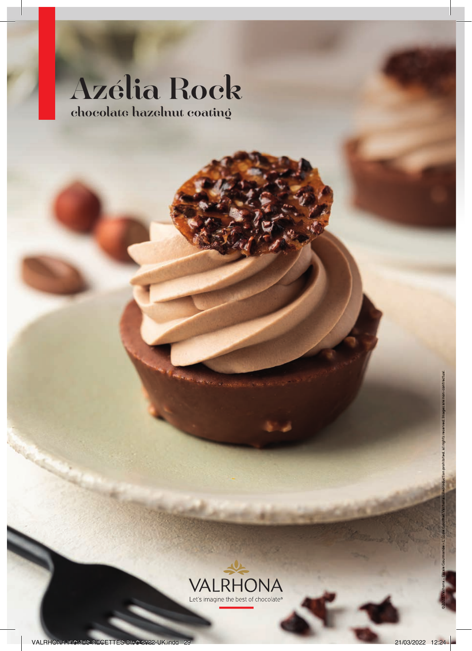# Azélia Rock chocolate hazelnut coating

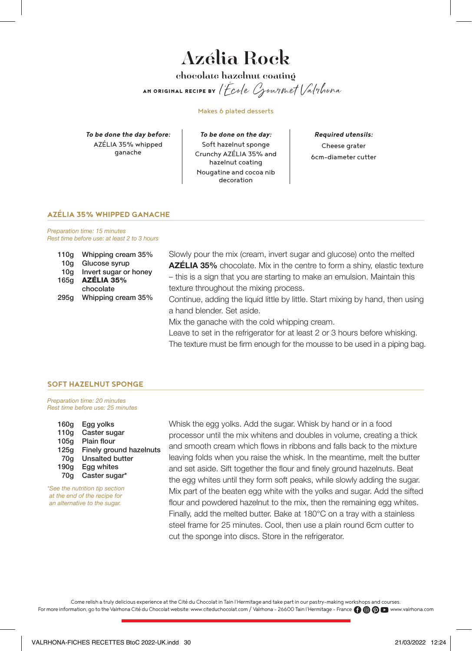# Azélia Rock chocolate hazelnut coating AN ORIGINAL RECIPE BY l'École Gourmet Valrhona

Makes 6 plated desserts

*To be done the day before:* AZÉLIA 35% whipped ganache

*To be done on the day:* Soft hazelnut sponge Crunchy AZÉLIA 35% and hazelnut coating Nougatine and cocoa nib decoration

*Required utensils:* Cheese grater 6cm-diameter cutter

# **AZÉLIA 35% WHIPPED GANACHE**

Preparation time: 15 minutes Rest time before use: at least 2 to 3 hours

| 110g | Whipping cream 35%    |
|------|-----------------------|
| 10q  | Glucose syrup         |
| 10q  | Invert sugar or honey |
| 165g | AZÉLIA 35%            |
|      | chocolate             |
| 295q | Whipping cream 35%    |
|      |                       |

Slowly pour the mix (cream, invert sugar and glucose) onto the melted AZÉLIA 35% chocolate. Mix in the centre to form a shiny, elastic texture – this is a sign that you are starting to make an emulsion. Maintain this texture throughout the mixing process.

Continue, adding the liquid little by little. Start mixing by hand, then using a hand blender. Set aside.

Mix the ganache with the cold whipping cream.

Leave to set in the refrigerator for at least 2 or 3 hours before whisking. The texture must be firm enough for the mousse to be used in a piping bag.

### **SOFT HAZELNUT SPONGE**

Preparation time: 20 minutes Rest time before use: 25 minutes

| 160q | Egg yolks               |
|------|-------------------------|
| 110q | Caster sugar            |
| 105q | Plain flour             |
| 125q | Finely ground hazelnuts |
| 70q  | <b>Unsalted butter</b>  |
| 190q | Egg whites              |
| 70a  | Caster sugar*           |
|      |                         |

\*See the nutrition tip section at the end of the recipe for an alternative to the sugar.

Whisk the egg yolks. Add the sugar. Whisk by hand or in a food processor until the mix whitens and doubles in volume, creating a thick and smooth cream which flows in ribbons and falls back to the mixture leaving folds when you raise the whisk. In the meantime, melt the butter and set aside. Sift together the flour and finely ground hazelnuts. Beat the egg whites until they form soft peaks, while slowly adding the sugar. Mix part of the beaten egg white with the yolks and sugar. Add the sifted flour and powdered hazelnut to the mix, then the remaining egg whites. Finally, add the melted butter. Bake at 180°C on a tray with a stainless steel frame for 25 minutes. Cool, then use a plain round 6cm cutter to cut the sponge into discs. Store in the refrigerator.